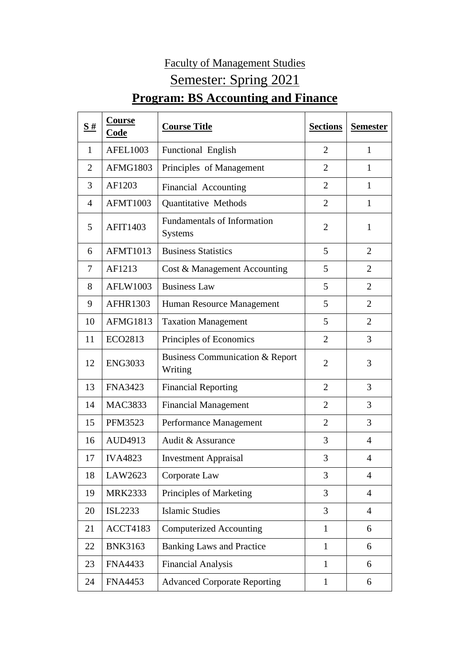## Faculty of Management Studies Semester: Spring 2021 **Program: BS Accounting and Finance**

| <u>S#</u>      | <b>Course</b><br>Code | <b>Course Title</b>                                   | <b>Sections</b> | <b>Semester</b> |
|----------------|-----------------------|-------------------------------------------------------|-----------------|-----------------|
| 1              | <b>AFEL1003</b>       | Functional English                                    | $\overline{2}$  | 1               |
| $\overline{2}$ | <b>AFMG1803</b>       | Principles of Management                              | $\overline{2}$  | 1               |
| 3              | AF1203                | Financial Accounting                                  | 2               | 1               |
| 4              | <b>AFMT1003</b>       | Quantitative Methods                                  | $\overline{2}$  | 1               |
| 5              | <b>AFIT1403</b>       | <b>Fundamentals of Information</b><br><b>Systems</b>  | $\overline{2}$  | $\mathbf{1}$    |
| 6              | <b>AFMT1013</b>       | <b>Business Statistics</b>                            | 5               | $\overline{2}$  |
| 7              | AF1213                | Cost & Management Accounting                          | 5               | $\overline{2}$  |
| 8              | <b>AFLW1003</b>       | <b>Business Law</b>                                   | 5               | $\overline{2}$  |
| 9              | <b>AFHR1303</b>       | Human Resource Management                             | 5               | $\overline{2}$  |
| 10             | <b>AFMG1813</b>       | <b>Taxation Management</b>                            | 5               | $\overline{2}$  |
| 11             | ECO2813               | Principles of Economics                               | $\overline{2}$  | 3               |
| 12             | <b>ENG3033</b>        | <b>Business Communication &amp; Report</b><br>Writing | $\overline{2}$  | 3               |
| 13             | <b>FNA3423</b>        | <b>Financial Reporting</b>                            | $\overline{2}$  | 3               |
| 14             | <b>MAC3833</b>        | <b>Financial Management</b>                           | 2               | 3               |
| 15             | <b>PFM3523</b>        | Performance Management                                | $\overline{2}$  | 3               |
| 16             | AUD4913               | Audit & Assurance                                     | 3               | 4               |
| 17             | <b>IVA4823</b>        | <b>Investment Appraisal</b>                           | 3               | $\overline{4}$  |
| 18             | LAW2623               | Corporate Law                                         | 3               | $\overline{4}$  |
| 19             | <b>MRK2333</b>        | Principles of Marketing                               | 3               | $\overline{4}$  |
| 20             | <b>ISL2233</b>        | <b>Islamic Studies</b>                                | $\overline{3}$  | $\overline{4}$  |
| 21             | <b>ACCT4183</b>       | <b>Computerized Accounting</b>                        | $\mathbf{1}$    | 6               |
| 22             | <b>BNK3163</b>        | <b>Banking Laws and Practice</b>                      | $\mathbf{1}$    | 6               |
| 23             | <b>FNA4433</b>        | <b>Financial Analysis</b>                             | $\mathbf{1}$    | 6               |
| 24             | <b>FNA4453</b>        | <b>Advanced Corporate Reporting</b>                   | $\mathbf{1}$    | 6               |